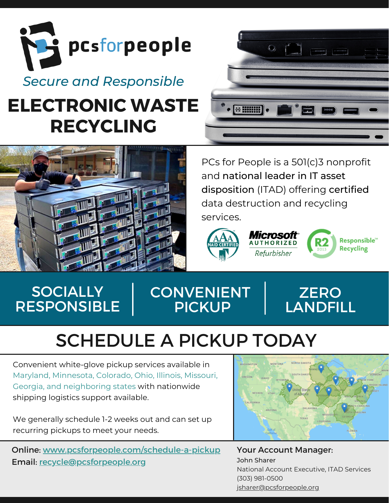

# **ELECTRONIC WASTE RECYCLING**



PCs for People is a 501(c)3 nonprofit and national leader in IT asset disposition (ITAD) offering certified data destruction and recycling services.

 $\circ$   $\Box$ 



 $\bullet$   $\left[\begin{array}{cc} + & 0 & 0 \\ + & 0 & 0 & 0 \\ + & 0 & 0 & 0 \\ + & 0 & 0 & 0 \\ + & 0 & 0 & 0 \\ + & 0 & 0 & 0 \\ + & 0 & 0 & 0 \\ + & 0 & 0 & 0 \\ + & 0 & 0 & 0 \\ + & 0 & 0 & 0 \\ + & 0 & 0 & 0 \\ + & 0 & 0 & 0 \\ + & 0 & 0 & 0 \\ + & 0 & 0 & 0 \\ + & 0 & 0 & 0 \\ + & 0 & 0 & 0 \\ + & 0 & 0 & 0 \\ + & 0 & 0 & 0 \\ + & 0 & 0 & 0 \\$ 



## **SOCIALLY** RESPONSIBLE

## **CONVENIENT** PICKUP



# SCHEDULE A PICKUP TODAY

Convenient white-glove pickup services available in Maryland, Minnesota, Colorado, Ohio, Illinois, Missouri, Georgia, and neighboring states with nationwide shipping logistics support available.

We generally schedule 1-2 weeks out and can set up recurring pickups to meet your needs.

Online: [www.pcsforpeople.com/schedule-a-pickup](https://www.pcsforpeople.com/schedule-a-pickup) Email: [recycle@pcsforpeople.org](mailto:%20recycle@pcsforpeople.org)



Your Account Manager: John Sharer National Account Executive, ITAD Services (303) 981-0500 [jsharer@pcsforpeople.org](mailto:jsharer@pcsforpeople.org)